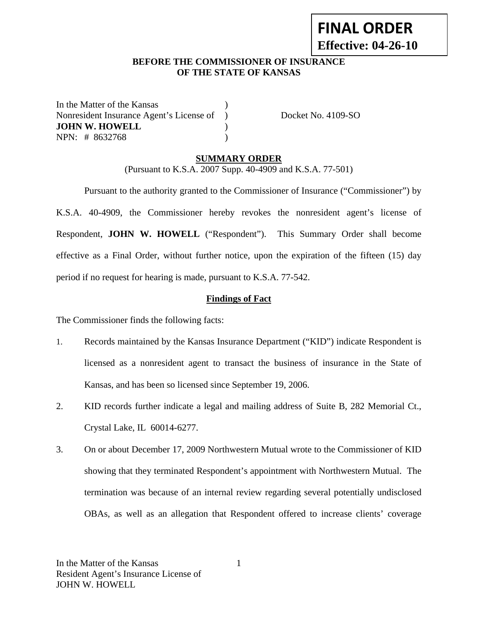# **FINAL ORDER Effective: 04-26-10**

#### **BEFORE THE COMMISSIONER OF INSURANCE OF THE STATE OF KANSAS**

In the Matter of the Kansas (1) Nonresident Insurance Agent's License of ) Docket No. 4109-SO **JOHN W. HOWELL** ) NPN: # 8632768 )

#### **SUMMARY ORDER**

(Pursuant to K.S.A. 2007 Supp. 40-4909 and K.S.A. 77-501)

 Pursuant to the authority granted to the Commissioner of Insurance ("Commissioner") by K.S.A. 40-4909, the Commissioner hereby revokes the nonresident agent's license of Respondent, **JOHN W. HOWELL** ("Respondent"). This Summary Order shall become effective as a Final Order, without further notice, upon the expiration of the fifteen (15) day period if no request for hearing is made, pursuant to K.S.A. 77-542.

#### **Findings of Fact**

The Commissioner finds the following facts:

- 1. Records maintained by the Kansas Insurance Department ("KID") indicate Respondent is licensed as a nonresident agent to transact the business of insurance in the State of Kansas, and has been so licensed since September 19, 2006.
- 2. KID records further indicate a legal and mailing address of Suite B, 282 Memorial Ct., Crystal Lake, IL 60014-6277.
- 3. On or about December 17, 2009 Northwestern Mutual wrote to the Commissioner of KID showing that they terminated Respondent's appointment with Northwestern Mutual. The termination was because of an internal review regarding several potentially undisclosed OBAs, as well as an allegation that Respondent offered to increase clients' coverage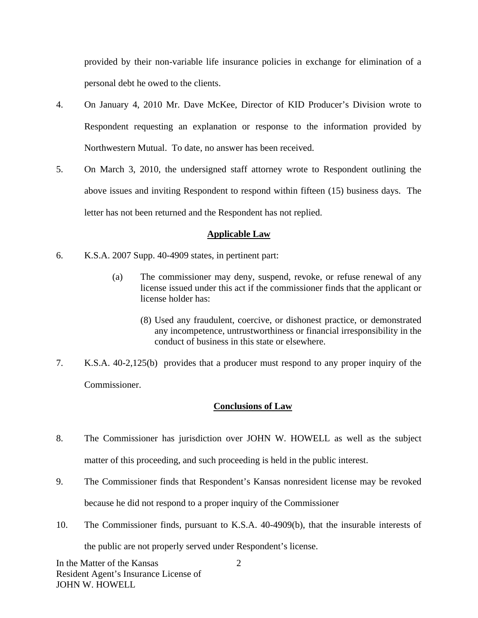provided by their non-variable life insurance policies in exchange for elimination of a personal debt he owed to the clients.

- 4. On January 4, 2010 Mr. Dave McKee, Director of KID Producer's Division wrote to Respondent requesting an explanation or response to the information provided by Northwestern Mutual. To date, no answer has been received.
- 5. On March 3, 2010, the undersigned staff attorney wrote to Respondent outlining the above issues and inviting Respondent to respond within fifteen (15) business days. The letter has not been returned and the Respondent has not replied.

# **Applicable Law**

- 6. K.S.A. 2007 Supp. 40-4909 states, in pertinent part:
	- (a) The commissioner may deny, suspend, revoke, or refuse renewal of any license issued under this act if the commissioner finds that the applicant or license holder has:
		- (8) Used any fraudulent, coercive, or dishonest practice, or demonstrated any incompetence, untrustworthiness or financial irresponsibility in the conduct of business in this state or elsewhere.
- 7. K.S.A. 40-2,125(b) provides that a producer must respond to any proper inquiry of the Commissioner.

## **Conclusions of Law**

- 8. The Commissioner has jurisdiction over JOHN W. HOWELL as well as the subject matter of this proceeding, and such proceeding is held in the public interest.
- 9. The Commissioner finds that Respondent's Kansas nonresident license may be revoked because he did not respond to a proper inquiry of the Commissioner
- 10. The Commissioner finds, pursuant to K.S.A. 40-4909(b), that the insurable interests of the public are not properly served under Respondent's license.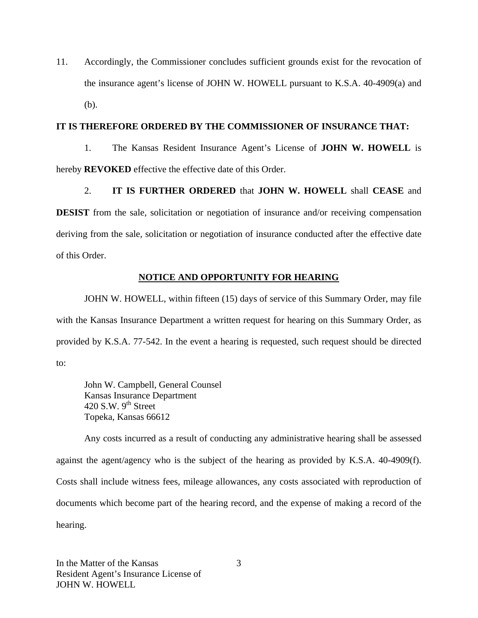11. Accordingly, the Commissioner concludes sufficient grounds exist for the revocation of the insurance agent's license of JOHN W. HOWELL pursuant to K.S.A. 40-4909(a) and (b).

#### **IT IS THEREFORE ORDERED BY THE COMMISSIONER OF INSURANCE THAT:**

1. The Kansas Resident Insurance Agent's License of **JOHN W. HOWELL** is hereby **REVOKED** effective the effective date of this Order.

2. **IT IS FURTHER ORDERED** that **JOHN W. HOWELL** shall **CEASE** and **DESIST** from the sale, solicitation or negotiation of insurance and/or receiving compensation deriving from the sale, solicitation or negotiation of insurance conducted after the effective date of this Order.

# **NOTICE AND OPPORTUNITY FOR HEARING**

JOHN W. HOWELL, within fifteen (15) days of service of this Summary Order, may file with the Kansas Insurance Department a written request for hearing on this Summary Order, as provided by K.S.A. 77-542. In the event a hearing is requested, such request should be directed to:

John W. Campbell, General Counsel Kansas Insurance Department 420 S.W.  $9^{th}$  Street Topeka, Kansas 66612

Any costs incurred as a result of conducting any administrative hearing shall be assessed against the agent/agency who is the subject of the hearing as provided by K.S.A. 40-4909(f). Costs shall include witness fees, mileage allowances, any costs associated with reproduction of documents which become part of the hearing record, and the expense of making a record of the hearing.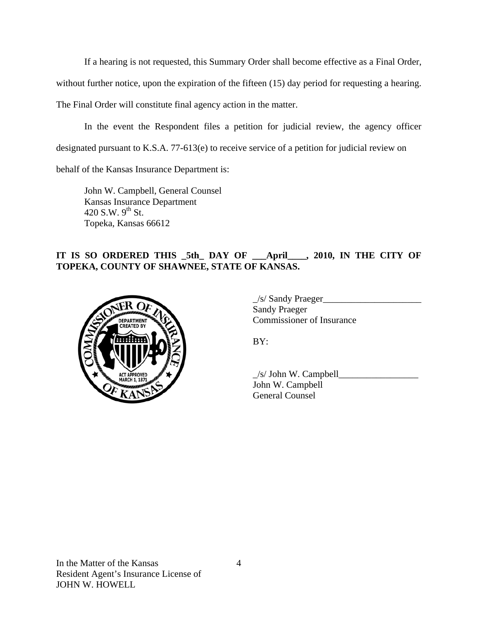If a hearing is not requested, this Summary Order shall become effective as a Final Order,

without further notice, upon the expiration of the fifteen (15) day period for requesting a hearing.

The Final Order will constitute final agency action in the matter.

In the event the Respondent files a petition for judicial review, the agency officer designated pursuant to K.S.A. 77-613(e) to receive service of a petition for judicial review on

behalf of the Kansas Insurance Department is:

John W. Campbell, General Counsel Kansas Insurance Department 420 S.W.  $9^{th}$  St. Topeka, Kansas 66612

# **IT IS SO ORDERED THIS \_5th\_ DAY OF \_\_\_April\_\_\_\_, 2010, IN THE CITY OF TOPEKA, COUNTY OF SHAWNEE, STATE OF KANSAS.**



 $\angle$ s/ Sandy Praeger $\angle$  Sandy Praeger COMMISSIONER COMMISSIONER OF Insurance

 $\angle$ s/ John W. Campbell $\angle$  John W. Campbell General Counsel